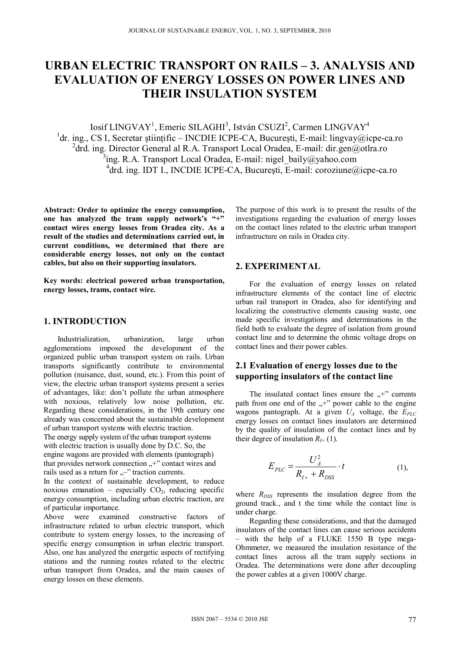# **URBAN ELECTRIC TRANSPORT ON RAILS – 3. ANALYSIS AND EVALUATION OF ENERGY LOSSES ON POWER LINES AND THEIR INSULATION SYSTEM**

Iosif LINGVAY<sup>1</sup>, Emeric SILAGHI<sup>3</sup>, István CSUZI<sup>2</sup>, Carmen LINGVAY<sup>4</sup> <sup>1</sup>dr. ing., CS I, Secretar științific – INCDIE ICPE-CA, București, E-mail: lingvay@icpe-ca.ro <sup>2</sup>drd. ing. Director General al R.A. Transport Local Oradea, E-mail: dir.gen@otlra.ro  $3$ ing. R.A. Transport Local Oradea, E-mail: nigel\_baily@yahoo.com 4 drd. ing. IDT I., INCDIE ICPE-CA, Bucureşti, E-mail: coroziune@icpe-ca.ro

**Abstract: Order to optimize the energy consumption, one has analyzed the tram supply network's "+" contact wires energy losses from Oradea city. As a result of the studies and determinations carried out, in current conditions, we determined that there are considerable energy losses, not only on the contact cables, but also on their supporting insulators.** 

**Key words: electrical powered urban transportation, energy losses, trams, contact wire.** 

#### **1. INTRODUCTION**

Industrialization, urbanization, large urban agglomerations imposed the development of the organized public urban transport system on rails. Urban transports significantly contribute to environmental pollution (nuisance, dust, sound, etc.). From this point of view, the electric urban transport systems present a series of advantages, like: don't pollute the urban atmosphere with noxious, relatively low noise pollution, etc. Regarding these considerations, in the 19th century one already was concerned about the sustainable development of urban transport systems with electric traction.

The energy supply system of the urban transport systems with electric traction is usually done by D.C. So, the engine wagons are provided with elements (pantograph) that provides network connection  $+$ " contact wires and rails used as a return for "-" traction currents.

In the context of sustainable development, to reduce noxious emanation – especially  $CO<sub>2</sub>$ , reducing specific energy consumption, including urban electric traction, are of particular importance.

Above were examined constructive factors of infrastructure related to urban electric transport, which contribute to system energy losses, to the increasing of specific energy consumption in urban electric transport. Also, one has analyzed the energetic aspects of rectifying stations and the running routes related to the electric urban transport from Oradea, and the main causes of energy losses on these elements.

The purpose of this work is to present the results of the investigations regarding the evaluation of energy losses on the contact lines related to the electric urban transport infrastructure on rails in Oradea city.

#### **2. EXPERIMENTAL**

For the evaluation of energy losses on related infrastructure elements of the contact line of electric urban rail transport in Oradea, also for identifying and localizing the constructive elements causing waste, one made specific investigations and determinations in the field both to evaluate the degree of isolation from ground contact line and to determine the ohmic voltage drops on contact lines and their power cables.

## **2.1 Evaluation of energy losses due to the supporting insulators of the contact line**

The insulated contact lines ensure the  $\mu$ <sup>+"</sup> currents path from one end of the  $,$ +" power cable to the engine wagons pantograph. At a given  $U_A$  voltage, the  $E_{PLC}$ energy losses on contact lines insulators are determined by the quality of insulation of the contact lines and by their degree of insulation  $R_{I+}$  (1).

$$
E_{PLC} = \frac{U_A^2}{R_{I+} + R_{DSS}} \cdot t
$$
 (1),

where  $R_{DSS}$  represents the insulation degree from the ground track., and t the time while the contact line is under charge.

Regarding these considerations, and that the damaged insulators of the contact lines can cause serious accidents – with the help of a FLUKE 1550 B type mega-Ohmmeter, we measured the insulation resistance of the contact lines across all the tram supply sections in Oradea. The determinations were done after decoupling the power cables at a given 1000V charge.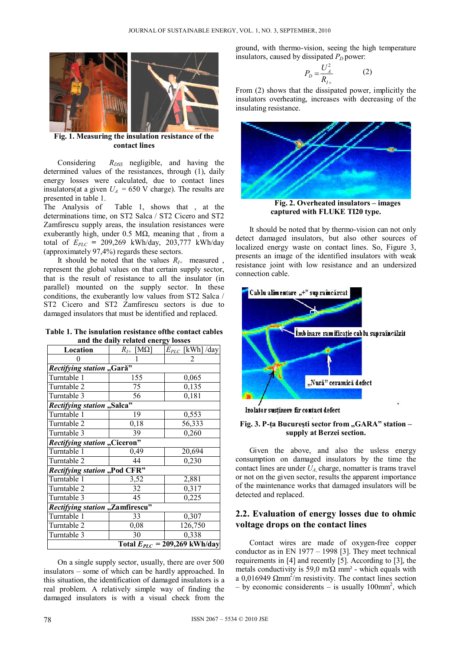

 **Fig. 1. Measuring the insulation resistance of the contact lines** 

Considering  $R_{DSS}$  negligible, and having the determined values of the resistances, through (1), daily energy losses were calculated, due to contact lines insulators(at a given  $U_A$  = 650 V charge). The results are presented in table 1.

The Analysis of Table 1, shows that , at the determinations time, on ST2 Salca / ST2 Cicero and ST2 Zamfirescu supply areas, the insulation resistances were exuberantly high, under  $0.5$  M $\Omega$ , meaning that, from a total of *EPLC =* 209,269 kWh/day, 203,777 kWh/day (approximately 97,4%) regards these sectors.

It should be noted that the values  $R_{I+}$  measured, represent the global values on that certain supply sector, that is the result of resistance to all the insulator (in parallel) mounted on the supply sector. In these conditions, the exuberantly low values from ST2 Salca / ST2 Cicero and ST2 Zamfirescu sectors is due to damaged insulators that must be identified and replaced.

**Table 1. The isnulation resistance ofthe contact cables and the daily related energy losses** 

| Location                               | $[M\Omega]$<br>$R_{I\pm}$ | $E_{PLC}$ [kWh] /day |
|----------------------------------------|---------------------------|----------------------|
|                                        |                           | $\overline{c}$       |
| Rectifying station "Gară"              |                           |                      |
| Turntable 1                            | 155                       | 0,065                |
| Turntable 2                            | 75                        | 0,135                |
| Turntable 3                            | 56                        | 0,181                |
| Rectifying station "Salca"             |                           |                      |
| Turntable 1                            | 19                        | 0,553                |
| Turntable 2                            | 0,18                      | 56,333               |
| Turntable 3                            | 39                        | 0,260                |
| <b>Rectifying station "Ciceron"</b>    |                           |                      |
| Turntable 1                            | 0,49                      | 20,694               |
| Turntable 2                            | 44                        | 0,230                |
| Rectifying station "Pod CFR"           |                           |                      |
| Turntable 1                            | 3,52                      | 2,881                |
| Turntable 2                            | 32                        | 0,317                |
| Turntable 3                            | 45                        | 0,225                |
| <b>Rectifying station "Zamfirescu"</b> |                           |                      |
| Turntable 1                            | 33                        | 0,307                |
| Turntable 2                            | 0,08                      | 126,750              |
| Turntable 3                            | 30                        | 0,338                |
| Total $E_{PLC} = 209,269$ kWh/day      |                           |                      |

On a single supply sector, usually, there are over 500 insulators – some of which can be hardly approached. In this situation, the identification of damaged insulators is a real problem. A relatively simple way of finding the damaged insulators is with a visual check from the ground, with thermo-vision, seeing the high temperature insulators, caused by dissipated  $P_D$  power:

$$
P_D = \frac{U_A^2}{R_{I+}}\tag{2}
$$

From (2) shows that the dissipated power, implicitly the insulators overheating, increases with decreasing of the insulating resistance.



**Fig. 2. Overheated insulators – images captured with FLUKE TI20 type.** 

It should be noted that by thermo-vision can not only detect damaged insulators, but also other sources of localized energy waste on contact lines. So, Figure 3, presents an image of the identified insulators with weak resistance joint with low resistance and an undersized connection cable.





#### Fig. 3. P-ta București sector from "GARA" station **supply at Berzei section.**

Given the above, and also the usless energy consumption on damaged insulators by the time the contact lines are under *UA*, charge, nomatter is trams travel or not on the given sector, results the apparent importance of the maintenance works that damaged insulators will be detected and replaced.

# **2.2. Evaluation of energy losses due to ohmic voltage drops on the contact lines**

Contact wires are made of oxygen-free copper conductor as in EN 1977 – 1998 [3]. They meet technical requirements in [4] and recently [5]. According to [3], the metals conductivity is 59,0 m/ $\Omega$  mm<sup>2</sup> - which equals with a 0,016949  $\Omega$ mm<sup>2</sup>/m resistivity. The contact lines section  $-$  by economic considerents  $-$  is usually 100mm<sup>2</sup>, which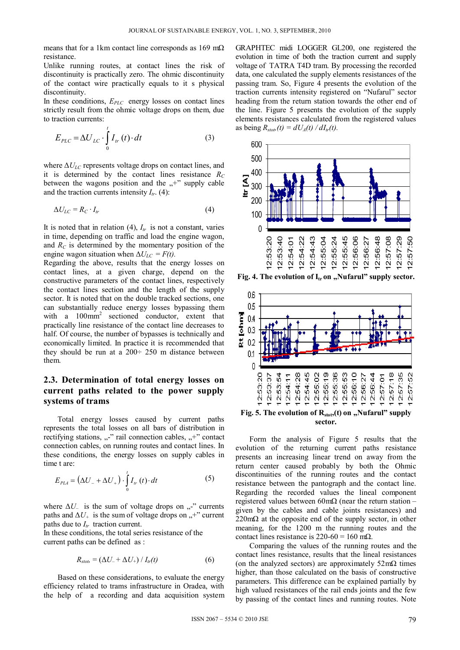means that for a 1km contact line corresponds as  $169 \text{ m}\Omega$ resistance.

Unlike running routes, at contact lines the risk of discontinuity is practically zero. The ohmic discontinuity of the contact wire practically equals to it s physical discontinuity.

In these conditions,  $E_{PLC}$  energy losses on contact lines strictly result from the ohmic voltage drops on them, due to traction currents:

$$
E_{PLC} = \Delta U_{LC} \cdot \int_{0}^{t} I_{tr}(t) \cdot dt
$$
 (3)

where  $\Delta U_{LC}$  represents voltage drops on contact lines, and it is determined by the contact lines resistance  $R_C$ between the wagons position and the  $,$ +" supply cable and the traction currents intensity  $I_{tr}$ . (4):

$$
\Delta U_{LC} = R_C \cdot I_{tr} \tag{4}
$$

It is noted that in relation  $(4)$ ,  $I_{tr}$  is not a constant, varies in time, depending on traffic and load the engine wagon, and  $R_C$  is determined by the momentary position of the engine wagon situation when  $\Delta U_{LC} = F(t)$ .

Regarding the above, results that the energy losses on contact lines, at a given charge, depend on the constructive parameters of the contact lines, respectively the contact lines section and the length of the supply sector. It is noted that on the double tracked sections, one can substantially reduce energy losses bypassing them with a  $100$ mm<sup>2</sup> sectioned conductor, extent that practically line resistance of the contact line decreases to half. Of course, the number of bypasses is technically and economically limited. In practice it is recommended that they should be run at a 200÷ 250 m distance between them.

# **2.3. Determination of total energy losses on current paths related to the power supply systems of trams**

Total energy losses caused by current paths represents the total losses on all bars of distribution in rectifying stations,  $\ldots$ " rail connection cables,  $\ldots$ +" contact connection cables, on running routes and contact lines. In these conditions, the energy losses on supply cables in time t are:

$$
E_{PLA} = \left(\Delta U_- + \Delta U_+\right) \cdot \int_0^t I_{tr}(t) \cdot dt \tag{5}
$$

where  $\Delta U_{-}$  is the sum of voltage drops on  $,$ -" currents paths and  $\Delta U_+$  is the sum of voltage drops on  $,$ +" current paths due to  $I_{tr}$  traction current.

In these conditions, the total series resistance of the current paths can be defined as :

$$
R_{\text{stob}} = \left(\Delta U_{-} + \Delta U_{+}\right) / I_{tr}(t) \tag{6}
$$

Based on these considerations, to evaluate the energy efficiency related to trams infrastructure in Oradea, with the help of a recording and data acquisition system GRAPHTEC midi LOGGER GL200, one registered the evolution in time of both the traction current and supply voltage of TATRA T4D tram. By processing the recorded data, one calculated the supply elements resistances of the passing tram. So, Figure 4 presents the evolution of the traction currents intensity registered on "Nufarul" sector heading from the return station towards the other end of the line. Figure 5 presents the evolution of the supply elements resistances calculated from the registered values as being  $R_{stab}(t) = dU_A(t) / dI_{tr}(t)$ .



**Fig. 4. The evolution of I**<sub>tr</sub> on "Nufarul" supply sector.



Fig. 5. The evolution of R<sub>stot</sub>, (t) on "Nufarul" supply **sector.** 

Form the analysis of Figure 5 results that the evolution of the returning current paths resistance presents an increasing linear trend on away from the return center caused probably by both the Ohmic discontinuities of the running routes and the contact resistance between the pantograph and the contact line. Regarding the recorded values the lineal component registered values between 60mΩ (near the return station – given by the cables and cable joints resistances) and  $220 \text{m}\Omega$  at the opposite end of the supply sector, in other meaning, for the 1200 m the running routes and the contact lines resistance is  $220-60 = 160$  m $\Omega$ .

Comparing the values of the running routes and the contact lines resistance, results that the lineal resistances (on the analyzed sectors) are approximately  $52 \text{m}\Omega$  times higher, than those calculated on the basis of constructive parameters. This difference can be explained partially by high valued resistances of the rail ends joints and the few by passing of the contact lines and running routes. Note